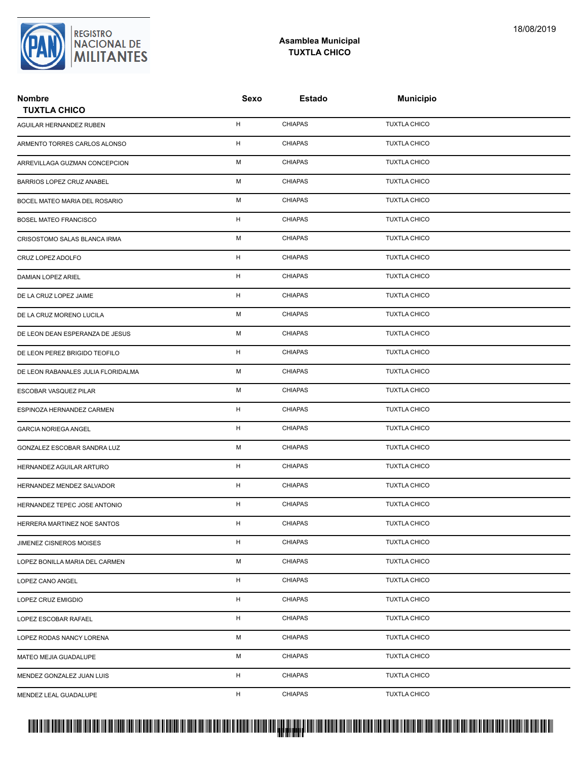

## **Asamblea Municipal TUXTLA CHICO**

| <b>Nombre</b><br><b>TUXTLA CHICO</b> | Sexo        | Estado         | <b>Municipio</b>    |  |
|--------------------------------------|-------------|----------------|---------------------|--|
| AGUILAR HERNANDEZ RUBEN              | н           | <b>CHIAPAS</b> | <b>TUXTLA CHICO</b> |  |
| ARMENTO TORRES CARLOS ALONSO         | н           | <b>CHIAPAS</b> | <b>TUXTLA CHICO</b> |  |
| ARREVILLAGA GUZMAN CONCEPCION        | М           | <b>CHIAPAS</b> | <b>TUXTLA CHICO</b> |  |
| BARRIOS LOPEZ CRUZ ANABEL            | М           | <b>CHIAPAS</b> | <b>TUXTLA CHICO</b> |  |
| BOCEL MATEO MARIA DEL ROSARIO        | М           | <b>CHIAPAS</b> | <b>TUXTLA CHICO</b> |  |
| <b>BOSEL MATEO FRANCISCO</b>         | н           | <b>CHIAPAS</b> | <b>TUXTLA CHICO</b> |  |
| CRISOSTOMO SALAS BLANCA IRMA         | М           | <b>CHIAPAS</b> | <b>TUXTLA CHICO</b> |  |
| CRUZ LOPEZ ADOLFO                    | H           | <b>CHIAPAS</b> | <b>TUXTLA CHICO</b> |  |
| DAMIAN LOPEZ ARIEL                   | Н           | <b>CHIAPAS</b> | <b>TUXTLA CHICO</b> |  |
| DE LA CRUZ LOPEZ JAIME               | H           | <b>CHIAPAS</b> | <b>TUXTLA CHICO</b> |  |
| DE LA CRUZ MORENO LUCILA             | М           | <b>CHIAPAS</b> | <b>TUXTLA CHICO</b> |  |
| DE LEON DEAN ESPERANZA DE JESUS      | М           | <b>CHIAPAS</b> | <b>TUXTLA CHICO</b> |  |
| DE LEON PEREZ BRIGIDO TEOFILO        | H           | <b>CHIAPAS</b> | <b>TUXTLA CHICO</b> |  |
| DE LEON RABANALES JULIA FLORIDALMA   | М           | <b>CHIAPAS</b> | <b>TUXTLA CHICO</b> |  |
| ESCOBAR VASQUEZ PILAR                | М           | <b>CHIAPAS</b> | <b>TUXTLA CHICO</b> |  |
| ESPINOZA HERNANDEZ CARMEN            | н           | <b>CHIAPAS</b> | <b>TUXTLA CHICO</b> |  |
| <b>GARCIA NORIEGA ANGEL</b>          | н           | <b>CHIAPAS</b> | <b>TUXTLA CHICO</b> |  |
| GONZALEZ ESCOBAR SANDRA LUZ          | М           | <b>CHIAPAS</b> | <b>TUXTLA CHICO</b> |  |
| HERNANDEZ AGUILAR ARTURO             | Н           | <b>CHIAPAS</b> | <b>TUXTLA CHICO</b> |  |
| HERNANDEZ MENDEZ SALVADOR            | H           | <b>CHIAPAS</b> | <b>TUXTLA CHICO</b> |  |
| HERNANDEZ TEPEC JOSE ANTONIO         | н           | <b>CHIAPAS</b> | <b>TUXTLA CHICO</b> |  |
| HERRERA MARTINEZ NOE SANTOS          | H           | <b>CHIAPAS</b> | <b>TUXTLA CHICO</b> |  |
| JIMENEZ CISNEROS MOISES              | $\mathsf H$ | <b>CHIAPAS</b> | <b>TUXTLA CHICO</b> |  |
| LOPEZ BONILLA MARIA DEL CARMEN       | М           | <b>CHIAPAS</b> | <b>TUXTLA CHICO</b> |  |
| LOPEZ CANO ANGEL                     | н           | <b>CHIAPAS</b> | <b>TUXTLA CHICO</b> |  |
| LOPEZ CRUZ EMIGDIO                   | H           | <b>CHIAPAS</b> | <b>TUXTLA CHICO</b> |  |
| LOPEZ ESCOBAR RAFAEL                 | H           | <b>CHIAPAS</b> | <b>TUXTLA CHICO</b> |  |
| LOPEZ RODAS NANCY LORENA             | М           | <b>CHIAPAS</b> | <b>TUXTLA CHICO</b> |  |
| MATEO MEJIA GUADALUPE                | М           | <b>CHIAPAS</b> | <b>TUXTLA CHICO</b> |  |
| MENDEZ GONZALEZ JUAN LUIS            | H           | <b>CHIAPAS</b> | <b>TUXTLA CHICO</b> |  |
| MENDEZ LEAL GUADALUPE                | H           | <b>CHIAPAS</b> | <b>TUXTLA CHICO</b> |  |

## PROTUCCION SU REGION DA SU REGIONAL DE LA SULTA SU REGIONAL DE MILITANTES CONTRADO NACIONAL DE MILITANTES CONTRADO N <mark>. Pangyakan k</mark>